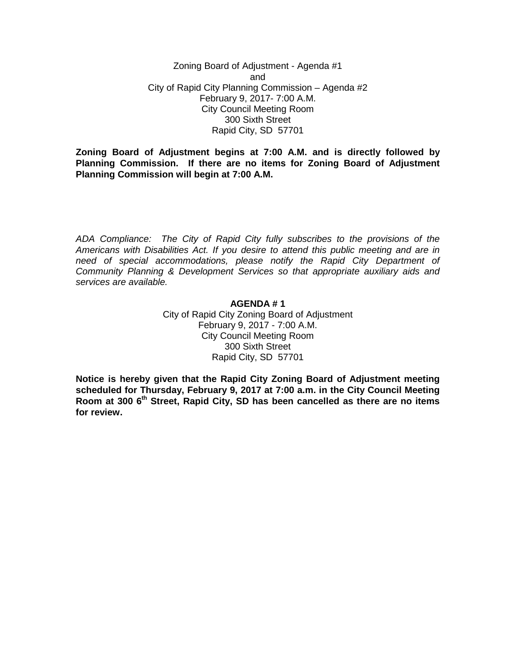Zoning Board of Adjustment - Agenda #1 and City of Rapid City Planning Commission – Agenda #2 February 9, 2017- 7:00 A.M. City Council Meeting Room 300 Sixth Street Rapid City, SD 57701

**Zoning Board of Adjustment begins at 7:00 A.M. and is directly followed by Planning Commission. If there are no items for Zoning Board of Adjustment Planning Commission will begin at 7:00 A.M.**

*ADA Compliance: The City of Rapid City fully subscribes to the provisions of the Americans with Disabilities Act. If you desire to attend this public meeting and are in need of special accommodations, please notify the Rapid City Department of Community Planning & Development Services so that appropriate auxiliary aids and services are available.*

## **AGENDA # 1**

City of Rapid City Zoning Board of Adjustment February 9, 2017 - 7:00 A.M. City Council Meeting Room 300 Sixth Street Rapid City, SD 57701

**Notice is hereby given that the Rapid City Zoning Board of Adjustment meeting scheduled for Thursday, February 9, 2017 at 7:00 a.m. in the City Council Meeting Room at 300 6th Street, Rapid City, SD has been cancelled as there are no items for review.**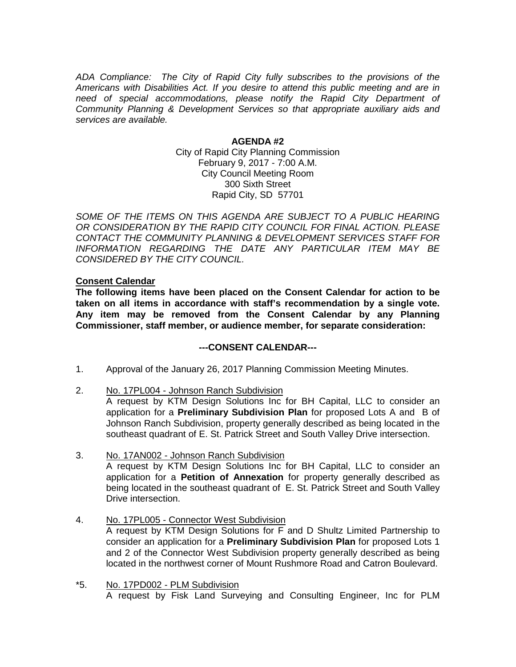*ADA Compliance: The City of Rapid City fully subscribes to the provisions of the Americans with Disabilities Act. If you desire to attend this public meeting and are in need of special accommodations, please notify the Rapid City Department of Community Planning & Development Services so that appropriate auxiliary aids and services are available.*

## **AGENDA #2**

City of Rapid City Planning Commission February 9, 2017 - 7:00 A.M. City Council Meeting Room 300 Sixth Street Rapid City, SD 57701

SOME OF THE ITEMS ON THIS AGENDA ARE SUBJECT TO A PUBLIC HEARING *OR CONSIDERATION BY THE RAPID CITY COUNCIL FOR FINAL ACTION. PLEASE CONTACT THE COMMUNITY PLANNING & DEVELOPMENT SERVICES STAFF FOR INFORMATION REGARDING THE DATE ANY PARTICULAR ITEM MAY BE CONSIDERED BY THE CITY COUNCIL.*

## **Consent Calendar**

**The following items have been placed on the Consent Calendar for action to be taken on all items in accordance with staff's recommendation by a single vote. Any item may be removed from the Consent Calendar by any Planning Commissioner, staff member, or audience member, for separate consideration:**

## **---CONSENT CALENDAR---**

- 1. Approval of the January 26, 2017 Planning Commission Meeting Minutes.
- 2. No. 17PL004 Johnson Ranch Subdivision

A request by KTM Design Solutions Inc for BH Capital, LLC to consider an application for a **Preliminary Subdivision Plan** for proposed Lots A and B of Johnson Ranch Subdivision, property generally described as being located in the southeast quadrant of E. St. Patrick Street and South Valley Drive intersection.

- 3. No. 17AN002 Johnson Ranch Subdivision A request by KTM Design Solutions Inc for BH Capital, LLC to consider an application for a **Petition of Annexation** for property generally described as being located in the southeast quadrant of E. St. Patrick Street and South Valley Drive intersection.
- 4. No. 17PL005 Connector West Subdivision A request by KTM Design Solutions for F and D Shultz Limited Partnership to consider an application for a **Preliminary Subdivision Plan** for proposed Lots 1 and 2 of the Connector West Subdivision property generally described as being located in the northwest corner of Mount Rushmore Road and Catron Boulevard.
- \*5. No. 17PD002 PLM Subdivision A request by Fisk Land Surveying and Consulting Engineer, Inc for PLM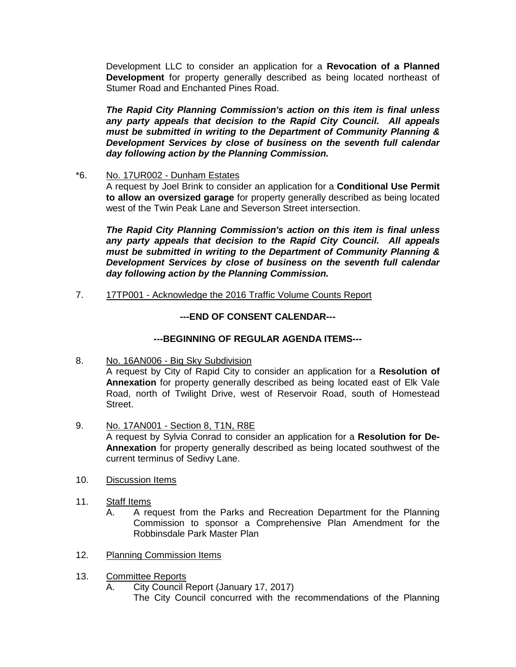Development LLC to consider an application for a **Revocation of a Planned Development** for property generally described as being located northeast of Stumer Road and Enchanted Pines Road.

*The Rapid City Planning Commission's action on this item is final unless any party appeals that decision to the Rapid City Council. All appeals must be submitted in writing to the Department of Community Planning & Development Services by close of business on the seventh full calendar day following action by the Planning Commission.*

\*6. No. 17UR002 - Dunham Estates

A request by Joel Brink to consider an application for a **Conditional Use Permit to allow an oversized garage** for property generally described as being located west of the Twin Peak Lane and Severson Street intersection.

*The Rapid City Planning Commission's action on this item is final unless any party appeals that decision to the Rapid City Council. All appeals must be submitted in writing to the Department of Community Planning & Development Services by close of business on the seventh full calendar day following action by the Planning Commission.*

7. 17TP001 - Acknowledge the 2016 Traffic Volume Counts Report

# **---END OF CONSENT CALENDAR---**

## **---BEGINNING OF REGULAR AGENDA ITEMS---**

- 8. No. 16AN006 Big Sky Subdivision A request by City of Rapid City to consider an application for a **Resolution of Annexation** for property generally described as being located east of Elk Vale Road, north of Twilight Drive, west of Reservoir Road, south of Homestead Street.
- 9. No. 17AN001 Section 8, T1N, R8E A request by Sylvia Conrad to consider an application for a **Resolution for De-Annexation** for property generally described as being located southwest of the current terminus of Sedivy Lane.
- 10. Discussion Items
- 11. Staff Items
	- A. A request from the Parks and Recreation Department for the Planning Commission to sponsor a Comprehensive Plan Amendment for the Robbinsdale Park Master Plan
- 12. Planning Commission Items
- 13. Committee Reports
	- A. City Council Report (January 17, 2017)
		- The City Council concurred with the recommendations of the Planning